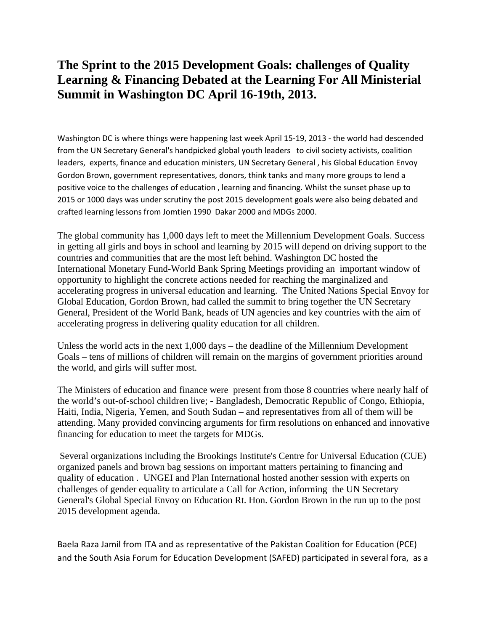## **The Sprint to the 2015 Development Goals: challenges of Quality Learning & Financing Debated at the Learning For All Ministerial Summit in Washington DC April 16-19th, 2013.**

Washington DC is where things were happening last week April 15-19, 2013 - the world had descended from the UN Secretary General's handpicked global youth leaders to civil society activists, coalition leaders, experts, finance and education ministers, UN Secretary General , his Global Education Envoy Gordon Brown, government representatives, donors, think tanks and many more groups to lend a positive voice to the challenges of education , learning and financing. Whilst the sunset phase up to 2015 or 1000 days was under scrutiny the post 2015 development goals were also being debated and crafted learning lessons from Jomtien 1990 Dakar 2000 and MDGs 2000.

The global community has 1,000 days left to meet the Millennium Development Goals. Success in getting all girls and boys in school and learning by 2015 will depend on driving support to the countries and communities that are the most left behind. Washington DC hosted the International Monetary Fund-World Bank Spring Meetings providing an important window of opportunity to highlight the concrete actions needed for reaching the marginalized and accelerating progress in universal education and learning. The United Nations Special Envoy for Global Education, Gordon Brown, had called the summit to bring together the UN Secretary General, President of the World Bank, heads of UN agencies and key countries with the aim of accelerating progress in delivering quality education for all children.

Unless the world acts in the next 1,000 days – the deadline of the Millennium Development Goals – tens of millions of children will remain on the margins of government priorities around the world, and girls will suffer most.

The Ministers of education and finance were present from those 8 countries where nearly half of the world's out-of-school children live; - Bangladesh, Democratic Republic of Congo, Ethiopia, Haiti, India, Nigeria, Yemen, and South Sudan – and representatives from all of them will be attending. Many provided convincing arguments for firm resolutions on enhanced and innovative financing for education to meet the targets for MDGs.

Several organizations including the Brookings Institute's Centre for Universal Education (CUE) organized panels and brown bag sessions on important matters pertaining to financing and quality of education . UNGEI and Plan International hosted another session with experts on challenges of gender equality to articulate a Call for Action, informing the UN Secretary General's Global Special Envoy on Education Rt. Hon. Gordon Brown in the run up to the post 2015 development agenda.

Baela Raza Jamil from ITA and as representative of the Pakistan Coalition for Education (PCE) and the South Asia Forum for Education Development (SAFED) participated in several fora, as a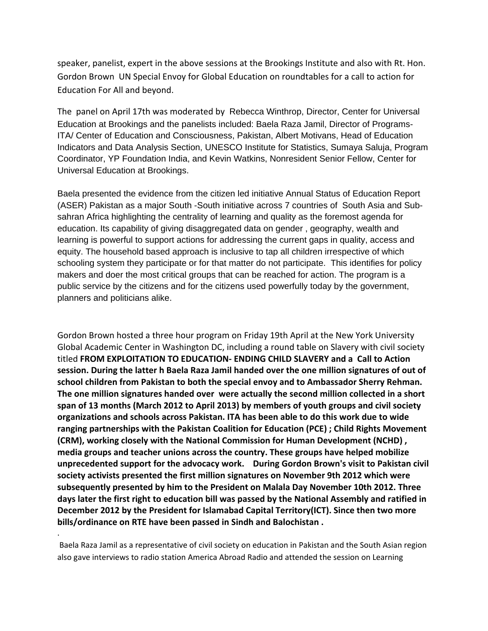speaker, panelist, expert in the above sessions at the Brookings Institute and also with Rt. Hon. Gordon Brown UN Special Envoy for Global Education on roundtables for a call to action for Education For All and beyond.

The panel on April 17th was moderated by Rebecca Winthrop, Director, Center for Universal Education at Brookings and the panelists included: Baela Raza Jamil, Director of Programs-ITA/ Center of Education and Consciousness, Pakistan, Albert Motivans, Head of Education Indicators and Data Analysis Section, UNESCO Institute for Statistics, Sumaya Saluja, Program Coordinator, YP Foundation India, and Kevin Watkins, Nonresident Senior Fellow, Center for Universal Education at Brookings.

Baela presented the evidence from the citizen led initiative Annual Status of Education Report (ASER) Pakistan as a major South -South initiative across 7 countries of South Asia and Subsahran Africa highlighting the centrality of learning and quality as the foremost agenda for education. Its capability of giving disaggregated data on gender , geography, wealth and learning is powerful to support actions for addressing the current gaps in quality, access and equity. The household based approach is inclusive to tap all children irrespective of which schooling system they participate or for that matter do not participate. This identifies for policy makers and doer the most critical groups that can be reached for action. The program is a public service by the citizens and for the citizens used powerfully today by the government, planners and politicians alike.

Gordon Brown hosted a three hour program on Friday 19th April at the New York University Global Academic Center in Washington DC, including a round table on Slavery with civil society titled **FROM EXPLOITATION TO EDUCATION- ENDING CHILD SLAVERY and a Call to Action session. During the latter h Baela Raza Jamil handed over the one million signatures of out of school children from Pakistan to both the special envoy and to Ambassador Sherry Rehman. The one million signatures handed over were actually the second million collected in a short span of 13 months (March 2012 to April 2013) by members of youth groups and civil society organizations and schools across Pakistan. ITA has been able to do this work due to wide ranging partnerships with the Pakistan Coalition for Education (PCE) ; Child Rights Movement (CRM), working closely with the National Commission for Human Development (NCHD) , media groups and teacher unions across the country. These groups have helped mobilize unprecedented support for the advocacy work. During Gordon Brown's visit to Pakistan civil society activists presented the first million signatures on November 9th 2012 which were subsequently presented by him to the President on Malala Day November 10th 2012. Three days later the first right to education bill was passed by the National Assembly and ratified in December 2012 by the President for Islamabad Capital Territory(ICT). Since then two more bills/ordinance on RTE have been passed in Sindh and Balochistan .** 

Baela Raza Jamil as a representative of civil society on education in Pakistan and the South Asian region also gave interviews to radio station America Abroad Radio and attended the session on Learning

.